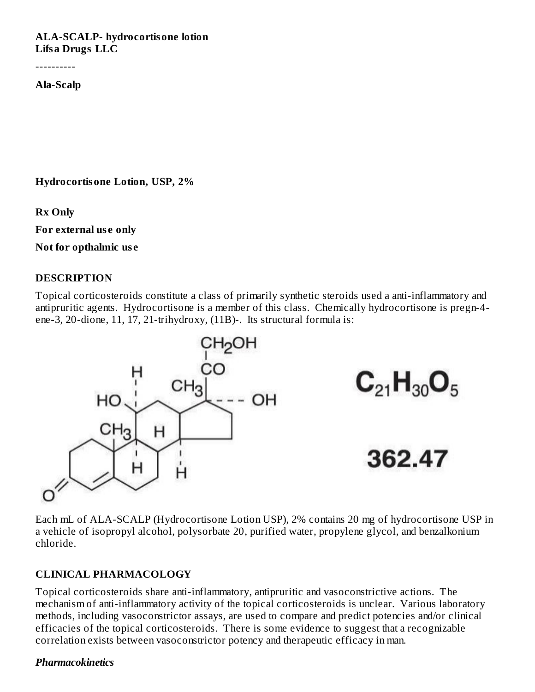**ALA-SCALP- hydrocortisone lotion Lifsa Drugs LLC**

----------

**Ala-Scalp**

**Hydrocortisone Lotion, USP, 2%**

**Rx Only For external us e only Not for opthalmic us e**

#### **DESCRIPTION**

Topical corticosteroids constitute a class of primarily synthetic steroids used a anti-inflammatory and antipruritic agents. Hydrocortisone is a member of this class. Chemically hydrocortisone is pregn-4 ene-3, 20-dione, 11, 17, 21-trihydroxy, (11B)-. Its structural formula is:



Each mL of ALA-SCALP (Hydrocortisone Lotion USP), 2% contains 20 mg of hydrocortisone USP in a vehicle of isopropyl alcohol, polysorbate 20, purified water, propylene glycol, and benzalkonium chloride.

#### **CLINICAL PHARMACOLOGY**

Topical corticosteroids share anti-inflammatory, antipruritic and vasoconstrictive actions. The mechanism of anti-inflammatory activity of the topical corticosteroids is unclear. Various laboratory methods, including vasoconstrictor assays, are used to compare and predict potencies and/or clinical efficacies of the topical corticosteroids. There is some evidence to suggest that a recognizable correlation exists between vasoconstrictor potency and therapeutic efficacy in man.

#### *Pharmacokinetics*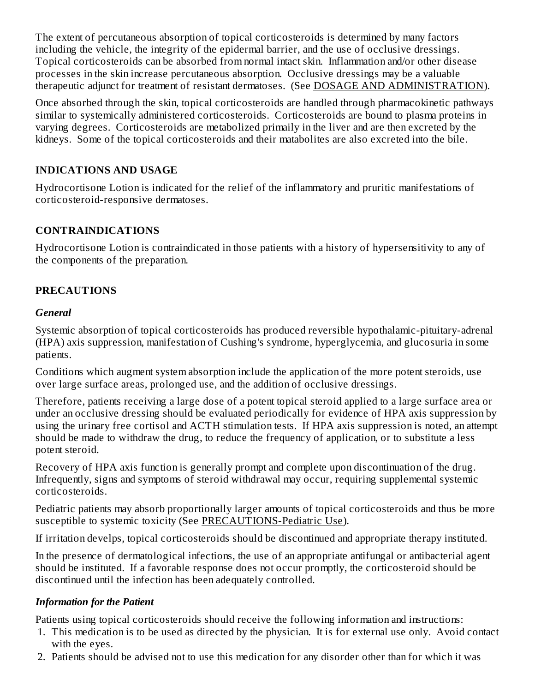The extent of percutaneous absorption of topical corticosteroids is determined by many factors including the vehicle, the integrity of the epidermal barrier, and the use of occlusive dressings. Topical corticosteroids can be absorbed from normal intact skin. Inflammation and/or other disease processes in the skin increase percutaneous absorption. Occlusive dressings may be a valuable therapeutic adjunct for treatment of resistant dermatoses. (See DOSAGE AND ADMINISTRATION).

Once absorbed through the skin, topical corticosteroids are handled through pharmacokinetic pathways similar to systemically administered corticosteroids. Corticosteroids are bound to plasma proteins in varying degrees. Corticosteroids are metabolized primaily in the liver and are then excreted by the kidneys. Some of the topical corticosteroids and their matabolites are also excreted into the bile.

## **INDICATIONS AND USAGE**

Hydrocortisone Lotion is indicated for the relief of the inflammatory and pruritic manifestations of corticosteroid-responsive dermatoses.

## **CONTRAINDICATIONS**

Hydrocortisone Lotion is contraindicated in those patients with a history of hypersensitivity to any of the components of the preparation.

## **PRECAUTIONS**

#### *General*

Systemic absorption of topical corticosteroids has produced reversible hypothalamic-pituitary-adrenal (HPA) axis suppression, manifestation of Cushing's syndrome, hyperglycemia, and glucosuria in some patients.

Conditions which augment system absorption include the application of the more potent steroids, use over large surface areas, prolonged use, and the addition of occlusive dressings.

Therefore, patients receiving a large dose of a potent topical steroid applied to a large surface area or under an occlusive dressing should be evaluated periodically for evidence of HPA axis suppression by using the urinary free cortisol and ACTH stimulation tests. If HPA axis suppression is noted, an attempt should be made to withdraw the drug, to reduce the frequency of application, or to substitute a less potent steroid.

Recovery of HPA axis function is generally prompt and complete upon discontinuation of the drug. Infrequently, signs and symptoms of steroid withdrawal may occur, requiring supplemental systemic corticosteroids.

Pediatric patients may absorb proportionally larger amounts of topical corticosteroids and thus be more susceptible to systemic toxicity (See PRECAUTIONS-Pediatric Use).

If irritation develps, topical corticosteroids should be discontinued and appropriate therapy instituted.

In the presence of dermatological infections, the use of an appropriate antifungal or antibacterial agent should be instituted. If a favorable response does not occur promptly, the corticosteroid should be discontinued until the infection has been adequately controlled.

## *Information for the Patient*

Patients using topical corticosteroids should receive the following information and instructions:

- 1. This medication is to be used as directed by the physician. It is for external use only. Avoid contact with the eyes.
- 2. Patients should be advised not to use this medication for any disorder other than for which it was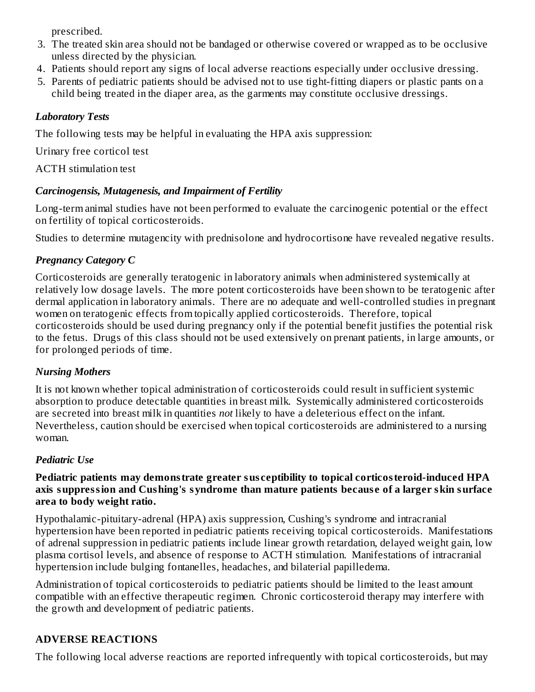prescribed.

- 3. The treated skin area should not be bandaged or otherwise covered or wrapped as to be occlusive unless directed by the physician.
- 4. Patients should report any signs of local adverse reactions especially under occlusive dressing.
- 5. Parents of pediatric patients should be advised not to use tight-fitting diapers or plastic pants on a child being treated in the diaper area, as the garments may constitute occlusive dressings.

## *Laboratory Tests*

The following tests may be helpful in evaluating the HPA axis suppression:

Urinary free corticol test

ACTH stimulation test

## *Carcinogensis, Mutagenesis, and Impairment of Fertility*

Long-term animal studies have not been performed to evaluate the carcinogenic potential or the effect on fertility of topical corticosteroids.

Studies to determine mutagencity with prednisolone and hydrocortisone have revealed negative results.

## *Pregnancy Category C*

Corticosteroids are generally teratogenic in laboratory animals when administered systemically at relatively low dosage lavels. The more potent corticosteroids have been shown to be teratogenic after dermal application in laboratory animals. There are no adequate and well-controlled studies in pregnant women on teratogenic effects from topically applied corticosteroids. Therefore, topical corticosteroids should be used during pregnancy only if the potential benefit justifies the potential risk to the fetus. Drugs of this class should not be used extensively on prenant patients, in large amounts, or for prolonged periods of time.

## *Nursing Mothers*

It is not known whether topical administration of corticosteroids could result in sufficient systemic absorption to produce detectable quantities in breast milk. Systemically administered corticosteroids are secreted into breast milk in quantities *not* likely to have a deleterious effect on the infant. Nevertheless, caution should be exercised when topical corticosteroids are administered to a nursing woman.

## *Pediatric Use*

#### **Pediatric patients may demonstrate greater sus ceptibility to topical corticosteroid-induced HPA axis suppression and Cushing's syndrome than mature patients becaus e of a larger skin surface area to body weight ratio.**

Hypothalamic-pituitary-adrenal (HPA) axis suppression, Cushing's syndrome and intracranial hypertension have been reported in pediatric patients receiving topical corticosteroids. Manifestations of adrenal suppression in pediatric patients include linear growth retardation, delayed weight gain, low plasma cortisol levels, and absence of response to ACTH stimulation. Manifestations of intracranial hypertension include bulging fontanelles, headaches, and bilaterial papilledema.

Administration of topical corticosteroids to pediatric patients should be limited to the least amount compatible with an effective therapeutic regimen. Chronic corticosteroid therapy may interfere with the growth and development of pediatric patients.

## **ADVERSE REACTIONS**

The following local adverse reactions are reported infrequently with topical corticosteroids, but may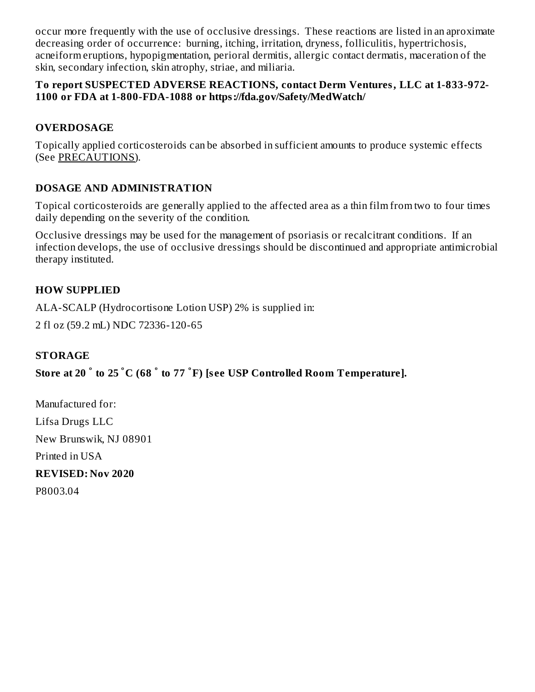occur more frequently with the use of occlusive dressings. These reactions are listed in an aproximate decreasing order of occurrence: burning, itching, irritation, dryness, folliculitis, hypertrichosis, acneiform eruptions, hypopigmentation, perioral dermitis, allergic contact dermatis, maceration of the skin, secondary infection, skin atrophy, striae, and miliaria.

#### **To report SUSPECTED ADVERSE REACTIONS, contact Derm Ventures, LLC at 1-833-972- 1100 or FDA at 1-800-FDA-1088 or https://fda.gov/Safety/MedWatch/**

#### **OVERDOSAGE**

Topically applied corticosteroids can be absorbed in sufficient amounts to produce systemic effects (See PRECAUTIONS).

#### **DOSAGE AND ADMINISTRATION**

Topical corticosteroids are generally applied to the affected area as a thin film from two to four times daily depending on the severity of the condition.

Occlusive dressings may be used for the management of psoriasis or recalcitrant conditions. If an infection develops, the use of occlusive dressings should be discontinued and appropriate antimicrobial therapy instituted.

#### **HOW SUPPLIED**

ALA-SCALP (Hydrocortisone Lotion USP) 2% is supplied in:

2 fl oz (59.2 mL) NDC 72336-120-65

## **STORAGE**

**Store at 20 to 25 C (68 to 77 F) [s ee USP Controlled Room Temperature]. º º º º**

Manufactured for: Lifsa Drugs LLC New Brunswik, NJ 08901 Printed in USA **REVISED: Nov 2020** P8003.04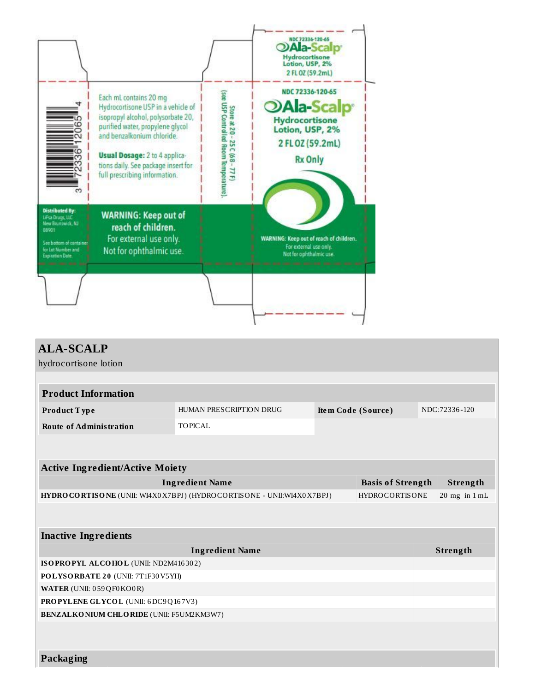

| <b>ALA-SCALP</b>                                                                               |                                |                    |                          |                 |                   |  |  |  |  |
|------------------------------------------------------------------------------------------------|--------------------------------|--------------------|--------------------------|-----------------|-------------------|--|--|--|--|
| hydrocortisone lotion                                                                          |                                |                    |                          |                 |                   |  |  |  |  |
|                                                                                                |                                |                    |                          |                 |                   |  |  |  |  |
| <b>Product Information</b>                                                                     |                                |                    |                          |                 |                   |  |  |  |  |
| Product Type                                                                                   | <b>HUMAN PRESCRIPTION DRUG</b> | Item Code (Source) |                          |                 | NDC:72336-120     |  |  |  |  |
| <b>Route of Administration</b>                                                                 | <b>TOPICAL</b>                 |                    |                          |                 |                   |  |  |  |  |
|                                                                                                |                                |                    |                          |                 |                   |  |  |  |  |
|                                                                                                |                                |                    |                          |                 |                   |  |  |  |  |
| <b>Active Ingredient/Active Moiety</b>                                                         |                                |                    |                          |                 |                   |  |  |  |  |
|                                                                                                | <b>Ingredient Name</b>         |                    | <b>Basis of Strength</b> |                 | Strength          |  |  |  |  |
| HYDROCORTISONE (UNII: WI4X0X7BPJ) (HYDROCORTISONE - UNII: WI4X0X7BPJ)<br><b>HYDROCORTISONE</b> |                                |                    |                          |                 | $20$ mg in $1$ mL |  |  |  |  |
|                                                                                                |                                |                    |                          |                 |                   |  |  |  |  |
| <b>Inactive Ingredients</b>                                                                    |                                |                    |                          |                 |                   |  |  |  |  |
| <b>Ingredient Name</b>                                                                         |                                |                    |                          | <b>Strength</b> |                   |  |  |  |  |
| ISOPROPYL ALCOHOL (UNII: ND2M416302)                                                           |                                |                    |                          |                 |                   |  |  |  |  |
| POLYSORBATE 20 (UNII: 7T1F30V5YH)                                                              |                                |                    |                          |                 |                   |  |  |  |  |
| WATER (UNII: 059 QF0 KO0 R)                                                                    |                                |                    |                          |                 |                   |  |  |  |  |
| PROPYLENE GLYCOL (UNII: 6DC9Q167V3)                                                            |                                |                    |                          |                 |                   |  |  |  |  |
| BENZALKONIUM CHLORIDE (UNII: F5UM2KM3W7)                                                       |                                |                    |                          |                 |                   |  |  |  |  |
|                                                                                                |                                |                    |                          |                 |                   |  |  |  |  |
|                                                                                                |                                |                    |                          |                 |                   |  |  |  |  |
| <b>Packaging</b>                                                                               |                                |                    |                          |                 |                   |  |  |  |  |